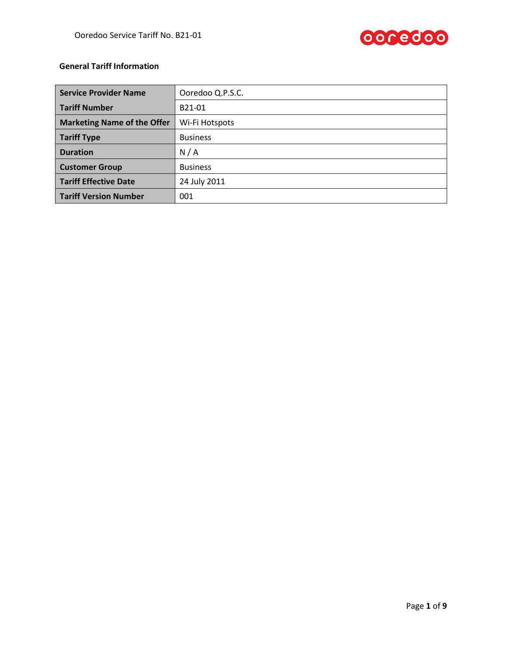

# **General Tariff Information**

| <b>Service Provider Name</b>       | Ooredoo Q.P.S.C. |  |  |
|------------------------------------|------------------|--|--|
| <b>Tariff Number</b>               | B21-01           |  |  |
| <b>Marketing Name of the Offer</b> | Wi-Fi Hotspots   |  |  |
| <b>Tariff Type</b>                 | <b>Business</b>  |  |  |
| <b>Duration</b>                    | N/A              |  |  |
| <b>Customer Group</b>              | <b>Business</b>  |  |  |
| <b>Tariff Effective Date</b>       | 24 July 2011     |  |  |
| <b>Tariff Version Number</b>       | 001              |  |  |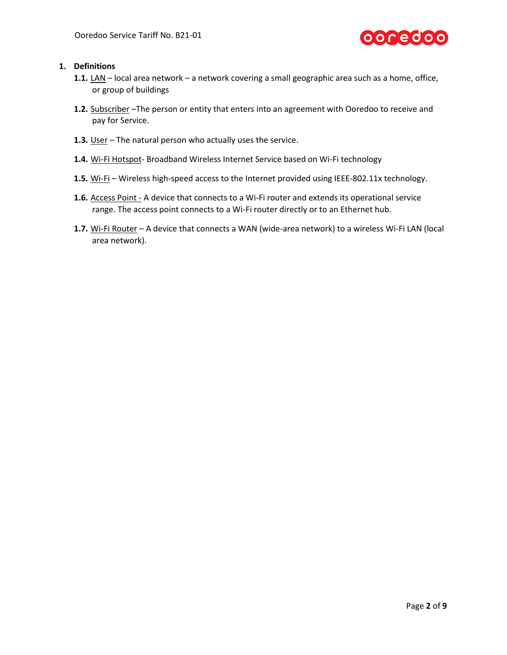

# **1. Definitions**

- **1.1.** LAN local area network a network covering a small geographic area such as a home, office, or group of buildings
- **1.2.** Subscriber –The person or entity that enters into an agreement with Ooredoo to receive and pay for Service.
- **1.3.** User The natural person who actually uses the service.
- **1.4.** Wi-Fi Hotspot- Broadband Wireless Internet Service based on Wi-Fi technology
- **1.5.** Wi-Fi Wireless high-speed access to the Internet provided using IEEE-802.11x technology.
- **1.6.** Access Point A device that connects to a Wi-Fi router and extends its operational service range. The access point connects to a Wi-Fi router directly or to an Ethernet hub.
- **1.7.** Wi-Fi Router A device that connects a WAN (wide-area network) to a wireless Wi-Fi LAN (local area network).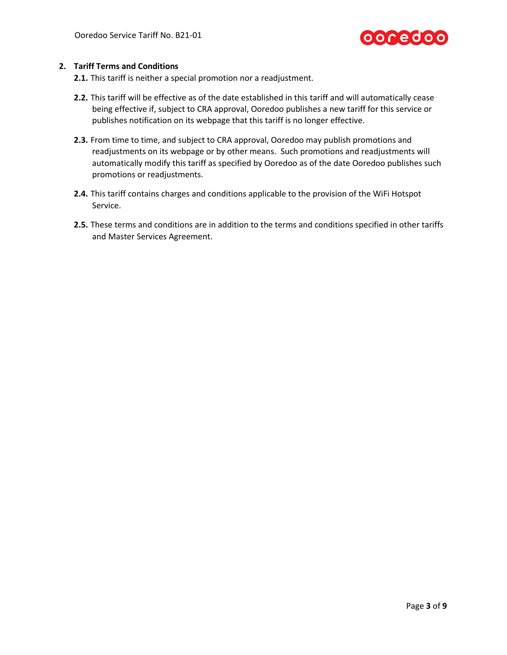

## **2. Tariff Terms and Conditions**

**2.1.** This tariff is neither a special promotion nor a readjustment.

- **2.2.** This tariff will be effective as of the date established in this tariff and will automatically cease being effective if, subject to CRA approval, Ooredoo publishes a new tariff for this service or publishes notification on its webpage that this tariff is no longer effective.
- **2.3.** From time to time, and subject to CRA approval, Ooredoo may publish promotions and readjustments on its webpage or by other means. Such promotions and readjustments will automatically modify this tariff as specified by Ooredoo as of the date Ooredoo publishes such promotions or readjustments.
- **2.4.** This tariff contains charges and conditions applicable to the provision of the WiFi Hotspot Service.
- **2.5.** These terms and conditions are in addition to the terms and conditions specified in other tariffs and Master Services Agreement.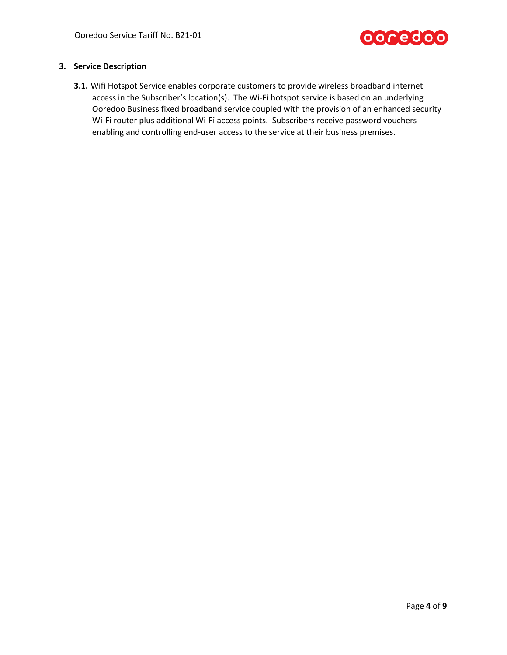

# **3. Service Description**

**3.1.** Wifi Hotspot Service enables corporate customers to provide wireless broadband internet access in the Subscriber's location(s). The Wi-Fi hotspot service is based on an underlying Ooredoo Business fixed broadband service coupled with the provision of an enhanced security Wi-Fi router plus additional Wi-Fi access points. Subscribers receive password vouchers enabling and controlling end-user access to the service at their business premises.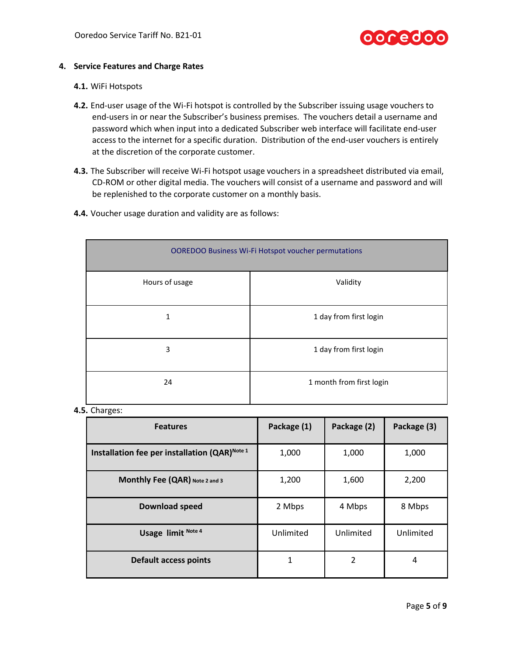

#### **4. Service Features and Charge Rates**

#### **4.1.** WiFi Hotspots

- **4.2.** End-user usage of the Wi-Fi hotspot is controlled by the Subscriber issuing usage vouchers to end-users in or near the Subscriber's business premises. The vouchers detail a username and password which when input into a dedicated Subscriber web interface will facilitate end-user access to the internet for a specific duration. Distribution of the end-user vouchers is entirely at the discretion of the corporate customer.
- **4.3.** The Subscriber will receive Wi-Fi hotspot usage vouchers in a spreadsheet distributed via email, CD-ROM or other digital media. The vouchers will consist of a username and password and will be replenished to the corporate customer on a monthly basis.
	- OOREDOO Business Wi-Fi Hotspot voucher permutations Hours of usage **Validity** 1 1 day from first login
- **4.4.** Voucher usage duration and validity are as follows:

**4.5.** Charges:

| <b>Features</b>                                           | Package (1) | Package (2) | Package (3) |
|-----------------------------------------------------------|-------------|-------------|-------------|
| Installation fee per installation (QAR) <sup>Note 1</sup> | 1,000       | 1,000       | 1,000       |
| Monthly Fee (QAR) Note 2 and 3                            | 1,200       | 1,600       | 2,200       |
| <b>Download speed</b>                                     | 2 Mbps      | 4 Mbps      | 8 Mbps      |
| Usage limit Note 4                                        | Unlimited   | Unlimited   | Unlimited   |
| <b>Default access points</b>                              |             | 2           | 4           |

3 1 day from first login

24 1 month from first login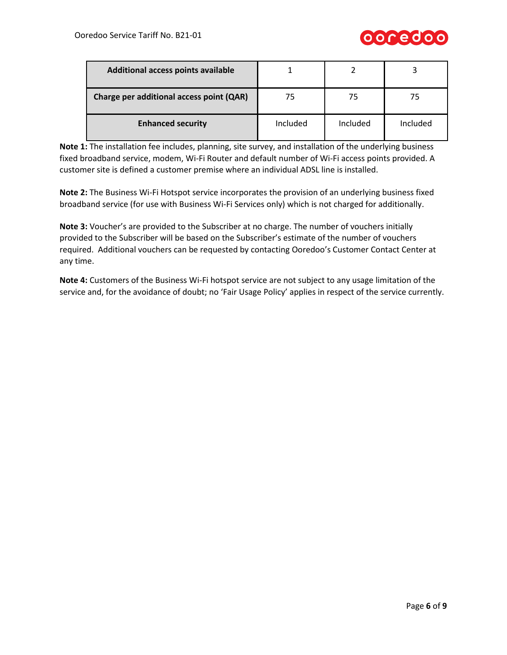

| Additional access points available       |          |          |          |
|------------------------------------------|----------|----------|----------|
| Charge per additional access point (QAR) | 75       |          | 75       |
| <b>Enhanced security</b>                 | Included | Included | Included |

**Note 1:** The installation fee includes, planning, site survey, and installation of the underlying business fixed broadband service, modem, Wi-Fi Router and default number of Wi-Fi access points provided. A customer site is defined a customer premise where an individual ADSL line is installed.

**Note 2:** The Business Wi-Fi Hotspot service incorporates the provision of an underlying business fixed broadband service (for use with Business Wi-Fi Services only) which is not charged for additionally.

**Note 3:** Voucher's are provided to the Subscriber at no charge. The number of vouchers initially provided to the Subscriber will be based on the Subscriber's estimate of the number of vouchers required. Additional vouchers can be requested by contacting Ooredoo's Customer Contact Center at any time.

**Note 4:** Customers of the Business Wi-Fi hotspot service are not subject to any usage limitation of the service and, for the avoidance of doubt; no 'Fair Usage Policy' applies in respect of the service currently.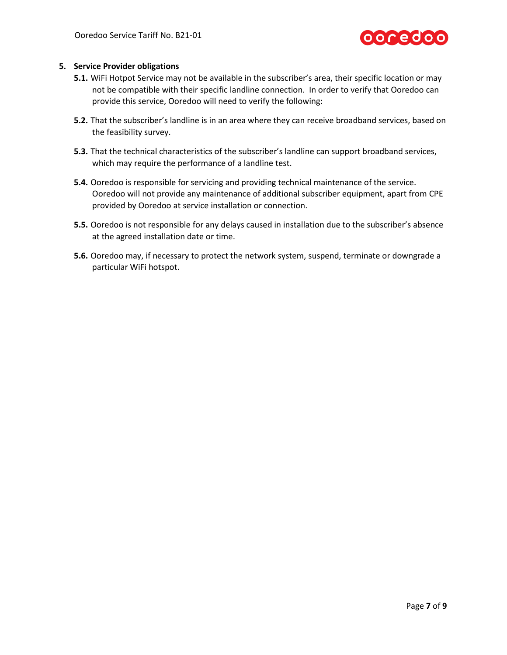

## **5. Service Provider obligations**

- **5.1.** WiFi Hotpot Service may not be available in the subscriber's area, their specific location or may not be compatible with their specific landline connection. In order to verify that Ooredoo can provide this service, Ooredoo will need to verify the following:
- **5.2.** That the subscriber's landline is in an area where they can receive broadband services, based on the feasibility survey.
- **5.3.** That the technical characteristics of the subscriber's landline can support broadband services, which may require the performance of a landline test.
- **5.4.** Ooredoo is responsible for servicing and providing technical maintenance of the service. Ooredoo will not provide any maintenance of additional subscriber equipment, apart from CPE provided by Ooredoo at service installation or connection.
- **5.5.** Ooredoo is not responsible for any delays caused in installation due to the subscriber's absence at the agreed installation date or time.
- **5.6.** Ooredoo may, if necessary to protect the network system, suspend, terminate or downgrade a particular WiFi hotspot.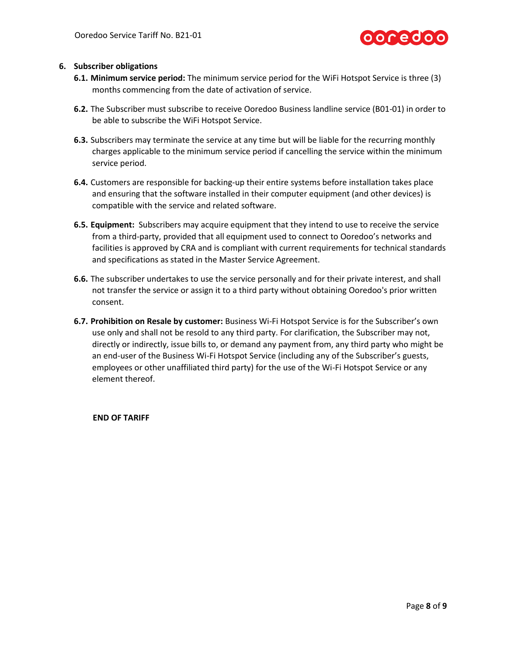

## **6. Subscriber obligations**

- **6.1. Minimum service period:** The minimum service period for the WiFi Hotspot Service is three (3) months commencing from the date of activation of service.
- **6.2.** The Subscriber must subscribe to receive Ooredoo Business landline service (B01-01) in order to be able to subscribe the WiFi Hotspot Service.
- **6.3.** Subscribers may terminate the service at any time but will be liable for the recurring monthly charges applicable to the minimum service period if cancelling the service within the minimum service period.
- **6.4.** Customers are responsible for backing-up their entire systems before installation takes place and ensuring that the software installed in their computer equipment (and other devices) is compatible with the service and related software.
- **6.5. Equipment:** Subscribers may acquire equipment that they intend to use to receive the service from a third-party, provided that all equipment used to connect to Ooredoo's networks and facilities is approved by CRA and is compliant with current requirements for technical standards and specifications as stated in the Master Service Agreement.
- **6.6.** The subscriber undertakes to use the service personally and for their private interest, and shall not transfer the service or assign it to a third party without obtaining Ooredoo's prior written consent.
- **6.7. Prohibition on Resale by customer:** Business Wi-Fi Hotspot Service is for the Subscriber's own use only and shall not be resold to any third party. For clarification, the Subscriber may not, directly or indirectly, issue bills to, or demand any payment from, any third party who might be an end-user of the Business Wi-Fi Hotspot Service (including any of the Subscriber's guests, employees or other unaffiliated third party) for the use of the Wi-Fi Hotspot Service or any element thereof.

**END OF TARIFF**